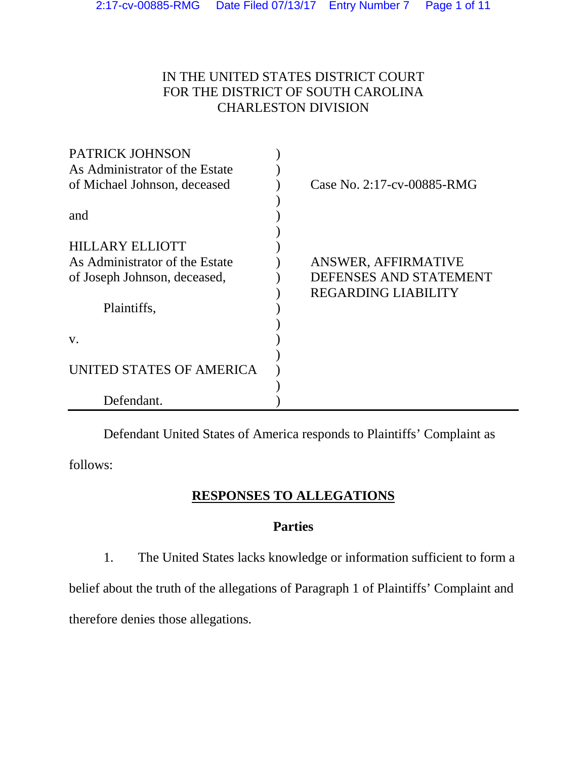# IN THE UNITED STATES DISTRICT COURT FOR THE DISTRICT OF SOUTH CAROLINA CHARLESTON DIVISION

| <b>PATRICK JOHNSON</b>         |                            |
|--------------------------------|----------------------------|
| As Administrator of the Estate |                            |
| of Michael Johnson, deceased   | Case No. 2:17-cv-00885-RMG |
|                                |                            |
| and                            |                            |
|                                |                            |
| <b>HILLARY ELLIOTT</b>         |                            |
| As Administrator of the Estate | ANSWER, AFFIRMATIVE        |
| of Joseph Johnson, deceased,   | DEFENSES AND STATEMENT     |
|                                | <b>REGARDING LIABILITY</b> |
| Plaintiffs,                    |                            |
|                                |                            |
| V.                             |                            |
|                                |                            |
| UNITED STATES OF AMERICA       |                            |
|                                |                            |
| Defendant.                     |                            |

Defendant United States of America responds to Plaintiffs' Complaint as

follows:

## **RESPONSES TO ALLEGATIONS**

## **Parties**

1. The United States lacks knowledge or information sufficient to form a

belief about the truth of the allegations of Paragraph 1 of Plaintiffs' Complaint and

therefore denies those allegations.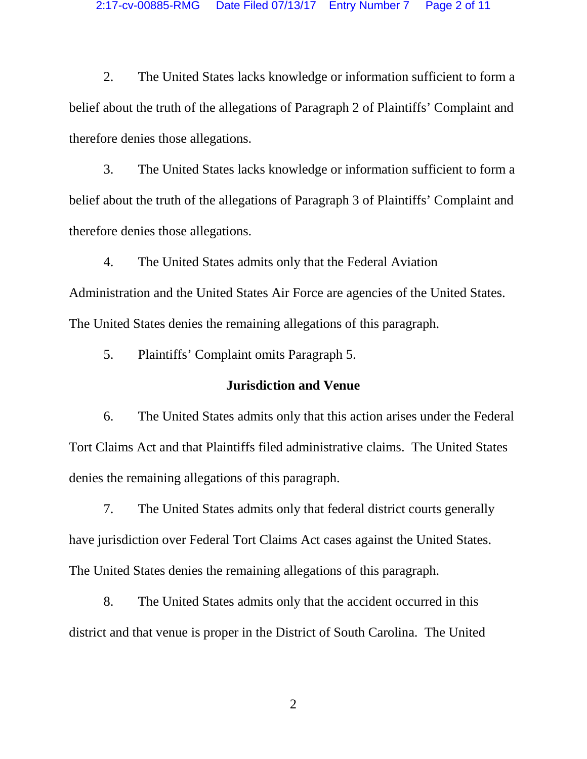2. The United States lacks knowledge or information sufficient to form a belief about the truth of the allegations of Paragraph 2 of Plaintiffs' Complaint and therefore denies those allegations.

3. The United States lacks knowledge or information sufficient to form a belief about the truth of the allegations of Paragraph 3 of Plaintiffs' Complaint and therefore denies those allegations.

4. The United States admits only that the Federal Aviation Administration and the United States Air Force are agencies of the United States. The United States denies the remaining allegations of this paragraph.

5. Plaintiffs' Complaint omits Paragraph 5.

### **Jurisdiction and Venue**

6. The United States admits only that this action arises under the Federal Tort Claims Act and that Plaintiffs filed administrative claims. The United States denies the remaining allegations of this paragraph.

7. The United States admits only that federal district courts generally have jurisdiction over Federal Tort Claims Act cases against the United States. The United States denies the remaining allegations of this paragraph.

8. The United States admits only that the accident occurred in this district and that venue is proper in the District of South Carolina. The United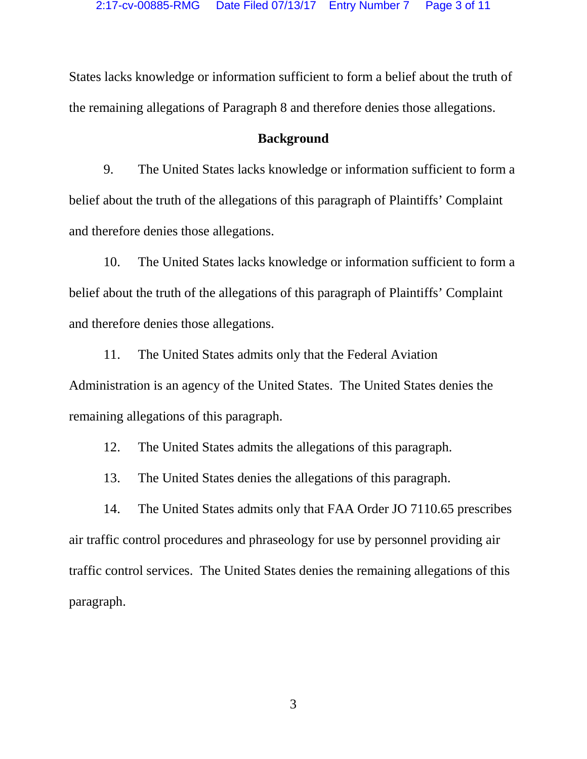States lacks knowledge or information sufficient to form a belief about the truth of the remaining allegations of Paragraph 8 and therefore denies those allegations.

#### **Background**

9. The United States lacks knowledge or information sufficient to form a belief about the truth of the allegations of this paragraph of Plaintiffs' Complaint and therefore denies those allegations.

10. The United States lacks knowledge or information sufficient to form a belief about the truth of the allegations of this paragraph of Plaintiffs' Complaint and therefore denies those allegations.

11. The United States admits only that the Federal Aviation Administration is an agency of the United States. The United States denies the remaining allegations of this paragraph.

12. The United States admits the allegations of this paragraph.

13. The United States denies the allegations of this paragraph.

14. The United States admits only that FAA Order JO 7110.65 prescribes air traffic control procedures and phraseology for use by personnel providing air traffic control services. The United States denies the remaining allegations of this paragraph.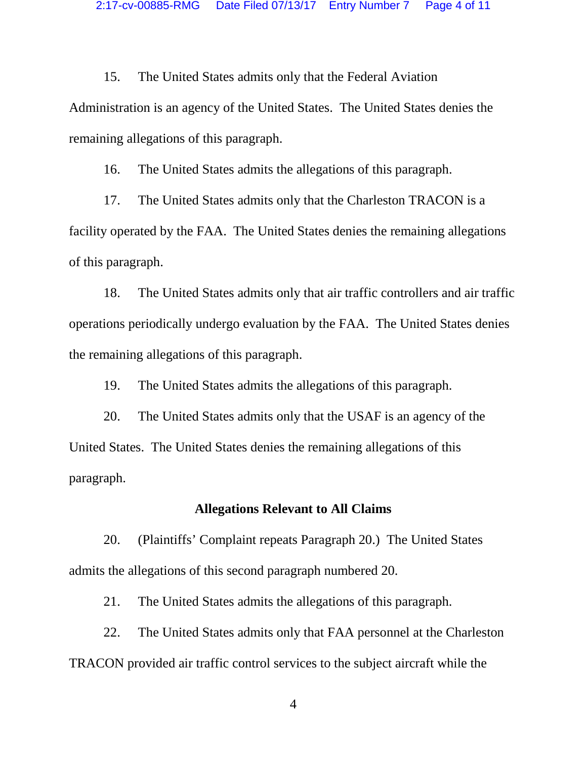15. The United States admits only that the Federal Aviation Administration is an agency of the United States. The United States denies the remaining allegations of this paragraph.

16. The United States admits the allegations of this paragraph.

17. The United States admits only that the Charleston TRACON is a facility operated by the FAA. The United States denies the remaining allegations of this paragraph.

18. The United States admits only that air traffic controllers and air traffic operations periodically undergo evaluation by the FAA. The United States denies the remaining allegations of this paragraph.

19. The United States admits the allegations of this paragraph.

20. The United States admits only that the USAF is an agency of the United States. The United States denies the remaining allegations of this paragraph.

#### **Allegations Relevant to All Claims**

20. (Plaintiffs' Complaint repeats Paragraph 20.) The United States admits the allegations of this second paragraph numbered 20.

21. The United States admits the allegations of this paragraph.

22. The United States admits only that FAA personnel at the Charleston TRACON provided air traffic control services to the subject aircraft while the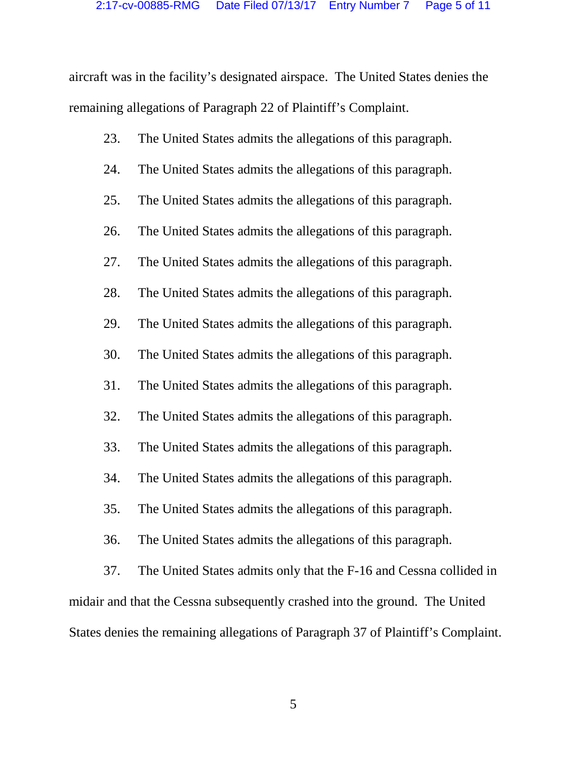aircraft was in the facility's designated airspace. The United States denies the remaining allegations of Paragraph 22 of Plaintiff's Complaint.

- 23. The United States admits the allegations of this paragraph.
- 24. The United States admits the allegations of this paragraph.
- 25. The United States admits the allegations of this paragraph.
- 26. The United States admits the allegations of this paragraph.
- 27. The United States admits the allegations of this paragraph.
- 28. The United States admits the allegations of this paragraph.
- 29. The United States admits the allegations of this paragraph.
- 30. The United States admits the allegations of this paragraph.
- 31. The United States admits the allegations of this paragraph.
- 32. The United States admits the allegations of this paragraph.
- 33. The United States admits the allegations of this paragraph.
- 34. The United States admits the allegations of this paragraph.
- 35. The United States admits the allegations of this paragraph.
- 36. The United States admits the allegations of this paragraph.

37. The United States admits only that the F-16 and Cessna collided in midair and that the Cessna subsequently crashed into the ground. The United States denies the remaining allegations of Paragraph 37 of Plaintiff's Complaint.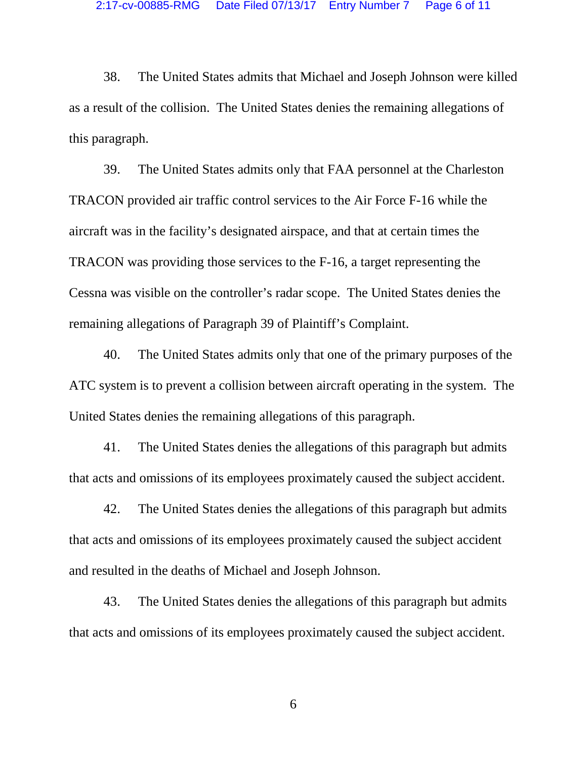38. The United States admits that Michael and Joseph Johnson were killed as a result of the collision. The United States denies the remaining allegations of this paragraph.

39. The United States admits only that FAA personnel at the Charleston TRACON provided air traffic control services to the Air Force F-16 while the aircraft was in the facility's designated airspace, and that at certain times the TRACON was providing those services to the F-16, a target representing the Cessna was visible on the controller's radar scope. The United States denies the remaining allegations of Paragraph 39 of Plaintiff's Complaint.

40. The United States admits only that one of the primary purposes of the ATC system is to prevent a collision between aircraft operating in the system. The United States denies the remaining allegations of this paragraph.

41. The United States denies the allegations of this paragraph but admits that acts and omissions of its employees proximately caused the subject accident.

42. The United States denies the allegations of this paragraph but admits that acts and omissions of its employees proximately caused the subject accident and resulted in the deaths of Michael and Joseph Johnson.

43. The United States denies the allegations of this paragraph but admits that acts and omissions of its employees proximately caused the subject accident.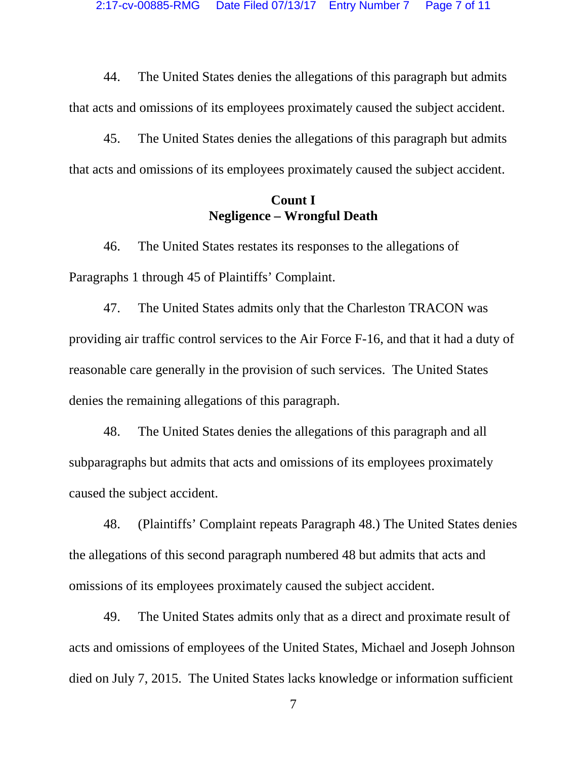44. The United States denies the allegations of this paragraph but admits that acts and omissions of its employees proximately caused the subject accident.

45. The United States denies the allegations of this paragraph but admits that acts and omissions of its employees proximately caused the subject accident.

### **Count I Negligence – Wrongful Death**

46. The United States restates its responses to the allegations of Paragraphs 1 through 45 of Plaintiffs' Complaint.

47. The United States admits only that the Charleston TRACON was providing air traffic control services to the Air Force F-16, and that it had a duty of reasonable care generally in the provision of such services. The United States denies the remaining allegations of this paragraph.

48. The United States denies the allegations of this paragraph and all subparagraphs but admits that acts and omissions of its employees proximately caused the subject accident.

48. (Plaintiffs' Complaint repeats Paragraph 48.) The United States denies the allegations of this second paragraph numbered 48 but admits that acts and omissions of its employees proximately caused the subject accident.

49. The United States admits only that as a direct and proximate result of acts and omissions of employees of the United States, Michael and Joseph Johnson died on July 7, 2015. The United States lacks knowledge or information sufficient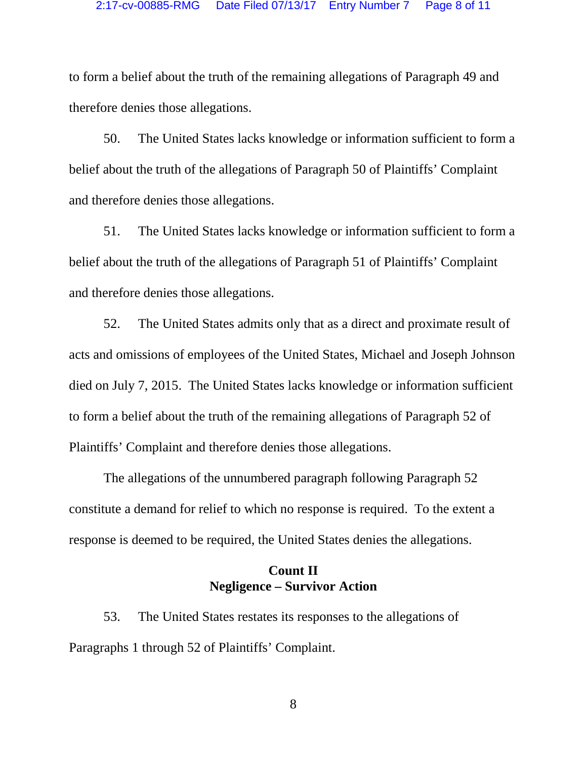to form a belief about the truth of the remaining allegations of Paragraph 49 and therefore denies those allegations.

50. The United States lacks knowledge or information sufficient to form a belief about the truth of the allegations of Paragraph 50 of Plaintiffs' Complaint and therefore denies those allegations.

51. The United States lacks knowledge or information sufficient to form a belief about the truth of the allegations of Paragraph 51 of Plaintiffs' Complaint and therefore denies those allegations.

52. The United States admits only that as a direct and proximate result of acts and omissions of employees of the United States, Michael and Joseph Johnson died on July 7, 2015. The United States lacks knowledge or information sufficient to form a belief about the truth of the remaining allegations of Paragraph 52 of Plaintiffs' Complaint and therefore denies those allegations.

The allegations of the unnumbered paragraph following Paragraph 52 constitute a demand for relief to which no response is required. To the extent a response is deemed to be required, the United States denies the allegations.

## **Count II Negligence – Survivor Action**

53. The United States restates its responses to the allegations of Paragraphs 1 through 52 of Plaintiffs' Complaint.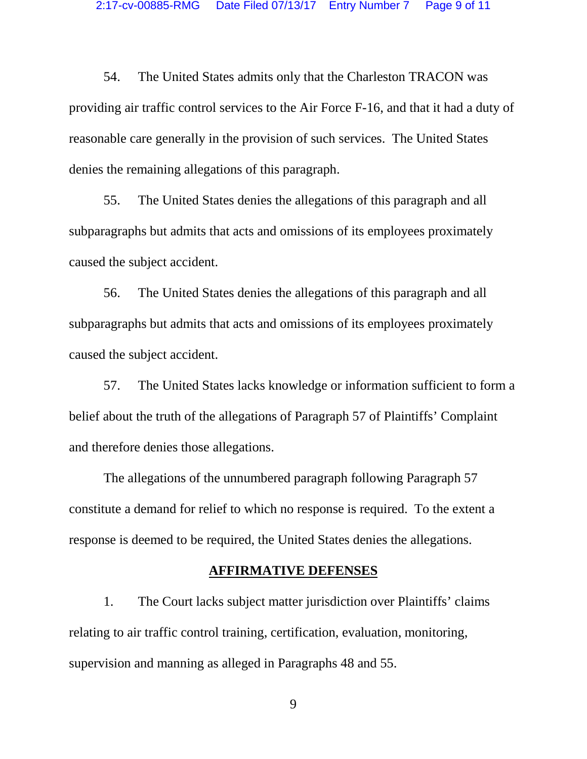54. The United States admits only that the Charleston TRACON was providing air traffic control services to the Air Force F-16, and that it had a duty of reasonable care generally in the provision of such services. The United States denies the remaining allegations of this paragraph.

55. The United States denies the allegations of this paragraph and all subparagraphs but admits that acts and omissions of its employees proximately caused the subject accident.

56. The United States denies the allegations of this paragraph and all subparagraphs but admits that acts and omissions of its employees proximately caused the subject accident.

57. The United States lacks knowledge or information sufficient to form a belief about the truth of the allegations of Paragraph 57 of Plaintiffs' Complaint and therefore denies those allegations.

The allegations of the unnumbered paragraph following Paragraph 57 constitute a demand for relief to which no response is required. To the extent a response is deemed to be required, the United States denies the allegations.

#### **AFFIRMATIVE DEFENSES**

1. The Court lacks subject matter jurisdiction over Plaintiffs' claims relating to air traffic control training, certification, evaluation, monitoring, supervision and manning as alleged in Paragraphs 48 and 55.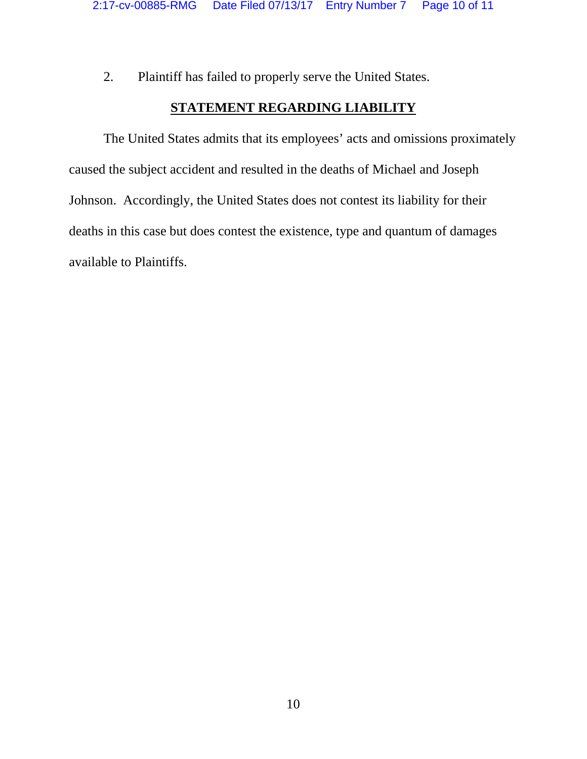2. Plaintiff has failed to properly serve the United States.

# **STATEMENT REGARDING LIABILITY**

The United States admits that its employees' acts and omissions proximately caused the subject accident and resulted in the deaths of Michael and Joseph Johnson. Accordingly, the United States does not contest its liability for their deaths in this case but does contest the existence, type and quantum of damages available to Plaintiffs.